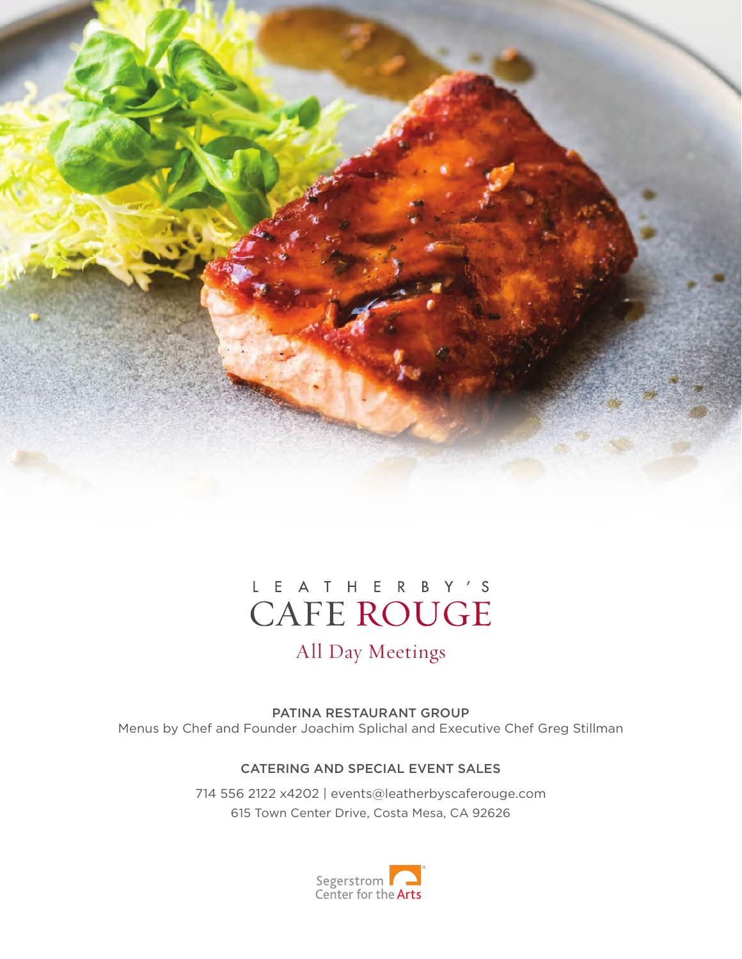

## L E A T H E R B Y 'S **CAFE ROUGE**

## All Day Meetings

PATINA RESTAURANT GROUP Menus by Chef and Founder Joachim Splichal and Executive Chef Greg Stillman

#### CATERING AND SPECIAL EVENT SALES

714 556 2122 x4202 | events@leatherbyscaferouge.com 615 Town Center Drive, Costa Mesa, CA 92626

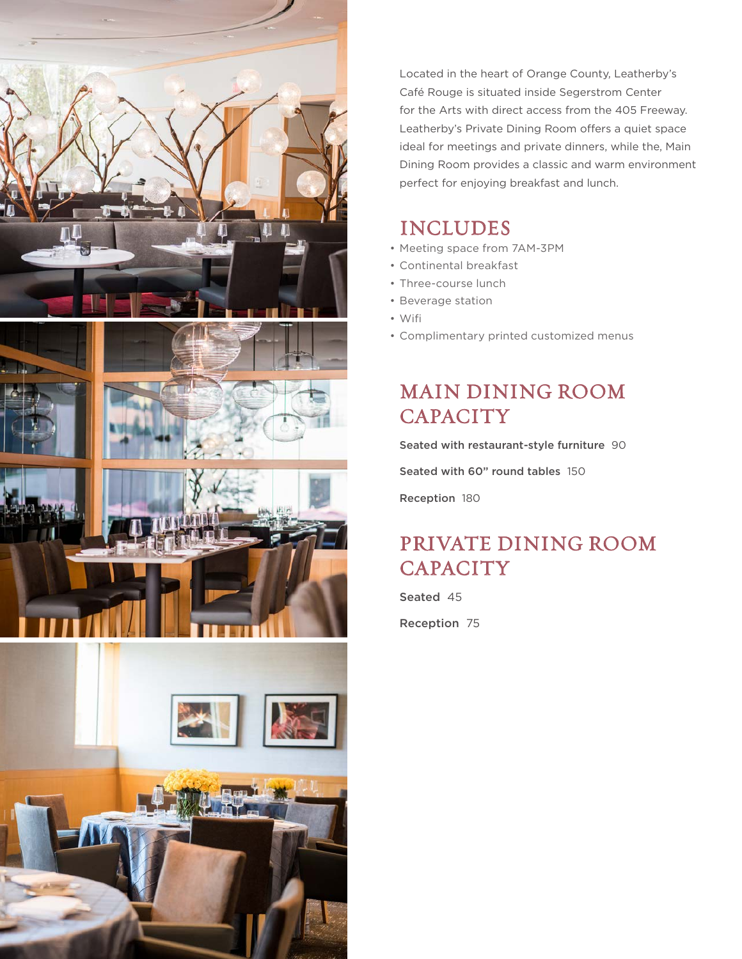

Located in the heart of Orange County, Leatherby's Café Rouge is situated inside Segerstrom Center for the Arts with direct access from the 405 Freeway. Leatherby's Private Dining Room offers a quiet space ideal for meetings and private dinners, while the, Main Dining Room provides a classic and warm environment perfect for enjoying breakfast and lunch.

### INCLUDES

- Meeting space from 7AM-3PM
- Continental breakfast •
- Three-course lunch
- Beverage station
- Wifi •
- Complimentary printed customized menus •

## MAIN DINING ROOM **CAPACITY**

Seated with restaurant-style furniture 90

Seated with 60" round tables 150

Reception 180

## PRIVATE DINING ROOM **CAPACITY**

Seated 45

Reception 75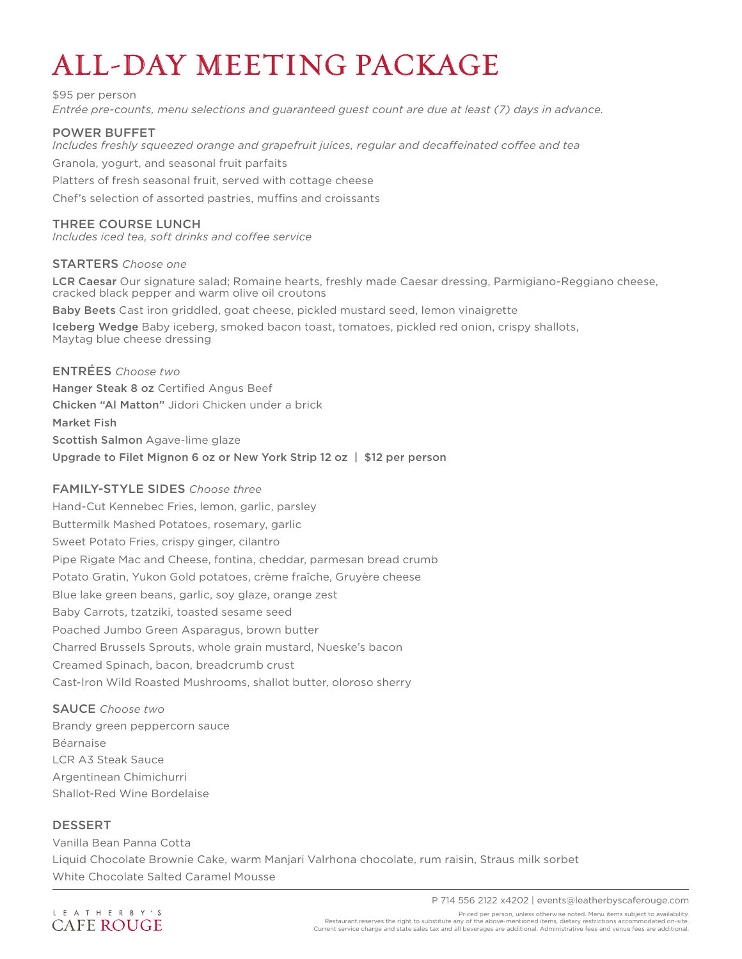# ALL-DAY MEETING PACKAGE

\$95 per person *Entrée pre-counts, menu selections and guaranteed guest count are due at least (7) days in advance.*

#### POWER BUFFET

*Includes freshly squeezed orange and grapefruit juices, regular and decaffeinated coffee and tea* 

Granola, yogurt, and seasonal fruit parfaits

Platters of fresh seasonal fruit, served with cottage cheese

Chef's selection of assorted pastries, muffins and croissants

#### THREE COURSE LUNCH

*Includes iced tea, soft drinks and coffee service*

#### STARTERS *Choose one*

LCR Caesar Our signature salad; Romaine hearts, freshly made Caesar dressing, Parmigiano-Reggiano cheese, cracked black pepper and warm olive oil croutons

Baby Beets Cast iron griddled, goat cheese, pickled mustard seed, lemon vinaigrette

Iceberg Wedge Baby iceberg, smoked bacon toast, tomatoes, pickled red onion, crispy shallots, Maytag blue cheese dressing

ENTRÉES *Choose two* Hanger Steak 8 oz Certified Angus Beef Chicken "Al Matton" Jidori Chicken under a brick Market Fish Scottish Salmon Agave-lime glaze Upgrade to Filet Mignon 6 oz or New York Strip 12 oz | \$12 per person

#### FAMILY-STYLE SIDES *Choose three*

Hand-Cut Kennebec Fries, lemon, garlic, parsley Buttermilk Mashed Potatoes, rosemary, garlic Sweet Potato Fries, crispy ginger, cilantro Pipe Rigate Mac and Cheese, fontina, cheddar, parmesan bread crumb Potato Gratin, Yukon Gold potatoes, crème fraîche, Gruyère cheese Blue lake green beans, garlic, soy glaze, orange zest Baby Carrots, tzatziki, toasted sesame seed Poached Jumbo Green Asparagus, brown butter Charred Brussels Sprouts, whole grain mustard, Nueske's bacon Creamed Spinach, bacon, breadcrumb crust Cast-Iron Wild Roasted Mushrooms, shallot butter, oloroso sherry

SAUCE *Choose two* Brandy green peppercorn sauce Béarnaise LCR A3 Steak Sauce Argentinean Chimichurri Shallot-Red Wine Bordelaise

#### DESSERT

Vanilla Bean Panna Cotta Liquid Chocolate Brownie Cake, warm Manjari Valrhona chocolate, rum raisin, Straus milk sorbet White Chocolate Salted Caramel Mousse

L E A T H E R B Y ' S **CAFE ROUGE**  P 714 556 2122 x4202 | events@leatherbyscaferouge.com